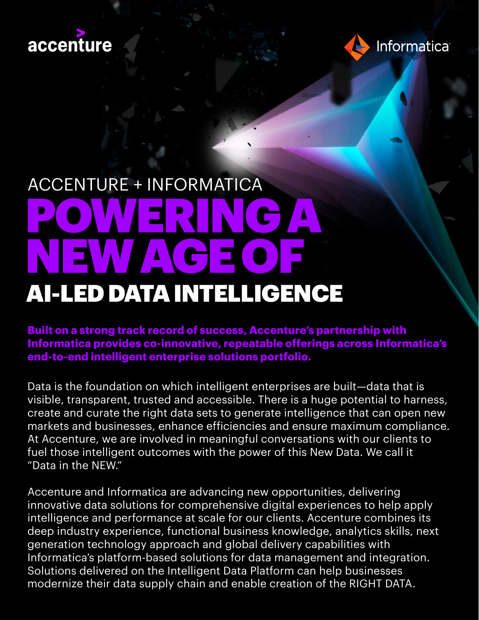



# ACCENTURE + INFORMATICA POWERING A NEW AGE OF AI-LED DATA INTELLIGENCE

**Built on a strong track record of success, Accenture's partnership with Informatica provides co-innovative, repeatable offerings across Informatica's end-to-end intelligent enterprise solutions portfolio.**

Data is the foundation on which intelligent enterprises are built—data that is visible, transparent, trusted and accessible. There is a huge potential to harness, create and curate the right data sets to generate intelligence that can open new markets and businesses, enhance efficiencies and ensure maximum compliance. At Accenture, we are involved in meaningful conversations with our clients to fuel those intelligent outcomes with the power of this New Data. We call it "Data in the NEW."

Accenture and Informatica are advancing new opportunities, delivering innovative data solutions for comprehensive digital experiences to help apply intelligence and performance at scale for our clients. Accenture combines its deep industry experience, functional business knowledge, analytics skills, next generation technology approach and global delivery capabilities with Informatica's platform-based solutions for data management and integration. Solutions delivered on the Intelligent Data Platform can help businesses modernize their data supply chain and enable creation of the RIGHT DATA.